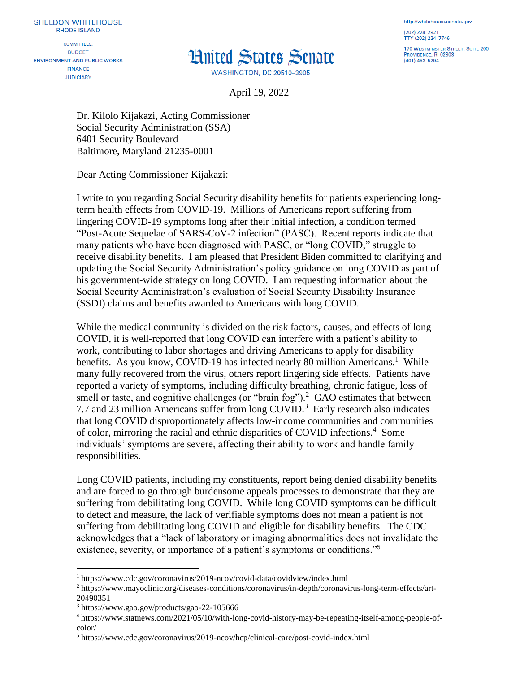**COMMITTEES: BUDGET ENVIRONMENT AND PUBLIC WORKS FINANCE JUDICIARY** 

## **Hnited States Senate**

**WASHINGTON, DC 20510-3905** 

http://whitehouse.senate.gov (202) 224-2921 TTY (202) 224-7746

170 WESTMINSTER STREET, SUITE 200 PROVIDENCE, RI 02903 (401) 453-5294

April 19, 2022

Dr. Kilolo Kijakazi, Acting Commissioner Social Security Administration (SSA) 6401 Security Boulevard Baltimore, Maryland 21235-0001

Dear Acting Commissioner Kijakazi:

I write to you regarding Social Security disability benefits for patients experiencing longterm health effects from COVID-19. Millions of Americans report suffering from lingering COVID-19 symptoms long after their initial infection, a condition termed "Post-Acute Sequelae of SARS-CoV-2 infection" (PASC). Recent reports indicate that many patients who have been diagnosed with PASC, or "long COVID," struggle to receive disability benefits. I am pleased that President Biden committed to clarifying and updating the Social Security Administration's policy guidance on long COVID as part of his government-wide strategy on long COVID. I am requesting information about the Social Security Administration's evaluation of Social Security Disability Insurance (SSDI) claims and benefits awarded to Americans with long COVID.

While the medical community is divided on the risk factors, causes, and effects of long COVID, it is well-reported that long COVID can interfere with a patient's ability to work, contributing to labor shortages and driving Americans to apply for disability benefits. As you know, COVID-19 has infected nearly 80 million Americans.<sup>1</sup> While many fully recovered from the virus, others report lingering side effects. Patients have reported a variety of symptoms, including difficulty breathing, chronic fatigue, loss of smell or taste, and cognitive challenges (or "brain fog").<sup>2</sup> GAO estimates that between 7.7 and 23 million Americans suffer from long COVID.<sup>3</sup> Early research also indicates that long COVID disproportionately affects low-income communities and communities of color, mirroring the racial and ethnic disparities of COVID infections.<sup>4</sup> Some individuals' symptoms are severe, affecting their ability to work and handle family responsibilities.

Long COVID patients, including my constituents, report being denied disability benefits and are forced to go through burdensome appeals processes to demonstrate that they are suffering from debilitating long COVID. While long COVID symptoms can be difficult to detect and measure, the lack of verifiable symptoms does not mean a patient is not suffering from debilitating long COVID and eligible for disability benefits. The CDC acknowledges that a "lack of laboratory or imaging abnormalities does not invalidate the existence, severity, or importance of a patient's symptoms or conditions."<sup>5</sup>

 $\overline{a}$ 

<sup>1</sup> https://www.cdc.gov/coronavirus/2019-ncov/covid-data/covidview/index.html

<sup>2</sup> https://www.mayoclinic.org/diseases-conditions/coronavirus/in-depth/coronavirus-long-term-effects/art-20490351

<sup>3</sup> https://www.gao.gov/products/gao-22-105666

<sup>4</sup> https://www.statnews.com/2021/05/10/with-long-covid-history-may-be-repeating-itself-among-people-ofcolor/

<sup>5</sup> https://www.cdc.gov/coronavirus/2019-ncov/hcp/clinical-care/post-covid-index.html